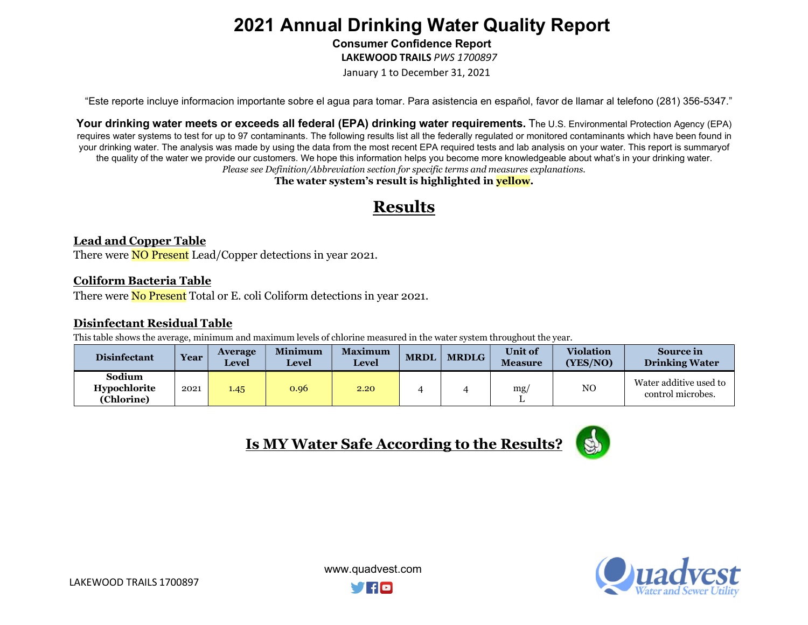Consumer Confidence Report

LAKEWOOD TRAILS PWS 1700897

January 1 to December 31, 2021

"Este reporte incluye informacion importante sobre el agua para tomar. Para asistencia en español, favor de llamar al telefono (281) 356-5347."

Your drinking water meets or exceeds all federal (EPA) drinking water requirements. The U.S. Environmental Protection Agency (EPA) requires water systems to test for up to 97 contaminants. The following results list all the federally regulated or monitored contaminants which have been found in your drinking water. The analysis was made by using the data from the most recent EPA required tests and lab analysis on your water. This report is summary of the quality of the water we provide our customers. We hope this information helps you become more knowledgeable about what's in your drinking water. Please see Definition/Abbreviation section for specific terms and measures explanations.

The water system's result is highlighted in **yellow**.

### Results

#### Lead and Copper Table

There were **NO Present** Lead/Copper detections in year 2021.

#### Coliform Bacteria Table

There were **No Present** Total or E. coli Coliform detections in year 2021.

#### Disinfectant Residual Table

This table shows the average, minimum and maximum levels of chlorine measured in the water system throughout the year.

| <b>Disinfectant</b>                  | <b>Year</b> | <b>Average</b><br><b>Level</b> | <b>Minimum</b><br><b>Level</b> | <b>Maximum</b><br><b>Level</b> | <b>MRDL</b> | <b>MRDLG</b> | <b>Unit of</b><br><b>Measure</b> | <b>Violation</b><br>(YES/NO) | <b>Source in</b><br><b>Drinking Water</b>   |
|--------------------------------------|-------------|--------------------------------|--------------------------------|--------------------------------|-------------|--------------|----------------------------------|------------------------------|---------------------------------------------|
| Sodium<br>Hypochlorite<br>(Chlorine) | 2021        | 1.45                           | 0.96                           | 2.20                           |             |              | mg                               | NO                           | Water additive used to<br>control microbes. |









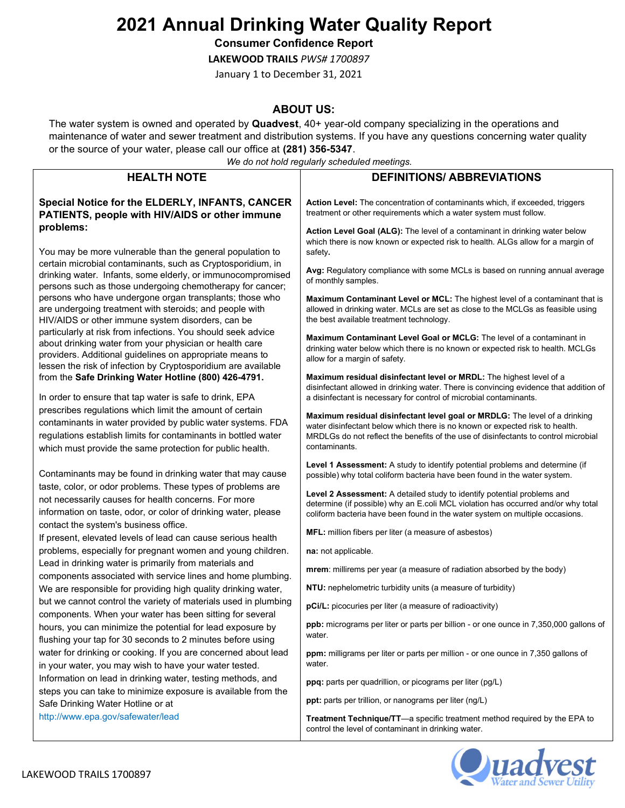Consumer Confidence Report

LAKEWOOD TRAILS PWS# 1700897

January 1 to December 31, 2021

#### ABOUT US:

The water system is owned and operated by Quadvest, 40+ year-old company specializing in the operations and maintenance of water and sewer treatment and distribution systems. If you have any questions concerning water quality or the source of your water, please call our office at (281) 356-5347.

We do not hold regularly scheduled meetings.

|                                                                                                                                                                                                                                                        | we ao not noia regulariy scheauled meetings.                                                                                                                                                                                                                       |  |  |  |  |
|--------------------------------------------------------------------------------------------------------------------------------------------------------------------------------------------------------------------------------------------------------|--------------------------------------------------------------------------------------------------------------------------------------------------------------------------------------------------------------------------------------------------------------------|--|--|--|--|
| <b>HEALTH NOTE</b>                                                                                                                                                                                                                                     | <b>DEFINITIONS/ ABBREVIATIONS</b>                                                                                                                                                                                                                                  |  |  |  |  |
| Special Notice for the ELDERLY, INFANTS, CANCER<br>PATIENTS, people with HIV/AIDS or other immune                                                                                                                                                      | Action Level: The concentration of contaminants which, if exceeded, triggers<br>treatment or other requirements which a water system must follow.                                                                                                                  |  |  |  |  |
| problems:<br>You may be more vulnerable than the general population to                                                                                                                                                                                 | Action Level Goal (ALG): The level of a contaminant in drinking water below<br>which there is now known or expected risk to health. ALGs allow for a margin of<br>safety.                                                                                          |  |  |  |  |
| certain microbial contaminants, such as Cryptosporidium, in<br>drinking water. Infants, some elderly, or immunocompromised<br>persons such as those undergoing chemotherapy for cancer;                                                                | Avg: Regulatory compliance with some MCLs is based on running annual average<br>of monthly samples.                                                                                                                                                                |  |  |  |  |
| persons who have undergone organ transplants; those who<br>are undergoing treatment with steroids; and people with<br>HIV/AIDS or other immune system disorders, can be                                                                                | Maximum Contaminant Level or MCL: The highest level of a contaminant that is<br>allowed in drinking water. MCLs are set as close to the MCLGs as feasible using<br>the best available treatment technology.                                                        |  |  |  |  |
| particularly at risk from infections. You should seek advice<br>about drinking water from your physician or health care<br>providers. Additional guidelines on appropriate means to<br>lessen the risk of infection by Cryptosporidium are available   | Maximum Contaminant Level Goal or MCLG: The level of a contaminant in<br>drinking water below which there is no known or expected risk to health. MCLGs<br>allow for a margin of safety.                                                                           |  |  |  |  |
| from the Safe Drinking Water Hotline (800) 426-4791.<br>In order to ensure that tap water is safe to drink, EPA                                                                                                                                        | Maximum residual disinfectant level or MRDL: The highest level of a<br>disinfectant allowed in drinking water. There is convincing evidence that addition of<br>a disinfectant is necessary for control of microbial contaminants.                                 |  |  |  |  |
| prescribes regulations which limit the amount of certain<br>contaminants in water provided by public water systems. FDA<br>regulations establish limits for contaminants in bottled water<br>which must provide the same protection for public health. | Maximum residual disinfectant level goal or MRDLG: The level of a drinking<br>water disinfectant below which there is no known or expected risk to health.<br>MRDLGs do not reflect the benefits of the use of disinfectants to control microbial<br>contaminants. |  |  |  |  |
| Contaminants may be found in drinking water that may cause                                                                                                                                                                                             | Level 1 Assessment: A study to identify potential problems and determine (if<br>possible) why total coliform bacteria have been found in the water system.                                                                                                         |  |  |  |  |
| taste, color, or odor problems. These types of problems are<br>not necessarily causes for health concerns. For more<br>information on taste, odor, or color of drinking water, please                                                                  | Level 2 Assessment: A detailed study to identify potential problems and<br>determine (if possible) why an E.coli MCL violation has occurred and/or why total<br>coliform bacteria have been found in the water system on multiple occasions.                       |  |  |  |  |
| contact the system's business office.<br>If present, elevated levels of lead can cause serious health                                                                                                                                                  | MFL: million fibers per liter (a measure of asbestos)                                                                                                                                                                                                              |  |  |  |  |
| problems, especially for pregnant women and young children.                                                                                                                                                                                            | na: not applicable.                                                                                                                                                                                                                                                |  |  |  |  |
| Lead in drinking water is primarily from materials and<br>components associated with service lines and home plumbing.                                                                                                                                  | mrem: millirems per year (a measure of radiation absorbed by the body)                                                                                                                                                                                             |  |  |  |  |
| We are responsible for providing high quality drinking water,                                                                                                                                                                                          | NTU: nephelometric turbidity units (a measure of turbidity)                                                                                                                                                                                                        |  |  |  |  |
| but we cannot control the variety of materials used in plumbing<br>components. When your water has been sitting for several                                                                                                                            | pCi/L: picocuries per liter (a measure of radioactivity)                                                                                                                                                                                                           |  |  |  |  |
| hours, you can minimize the potential for lead exposure by<br>flushing your tap for 30 seconds to 2 minutes before using                                                                                                                               | <b>ppb:</b> micrograms per liter or parts per billion - or one ounce in 7,350,000 gallons of<br>water.                                                                                                                                                             |  |  |  |  |
| water for drinking or cooking. If you are concerned about lead<br>in your water, you may wish to have your water tested.                                                                                                                               | ppm: milligrams per liter or parts per million - or one ounce in 7,350 gallons of<br>water.                                                                                                                                                                        |  |  |  |  |
| Information on lead in drinking water, testing methods, and                                                                                                                                                                                            | ppq: parts per quadrillion, or picograms per liter (pg/L)                                                                                                                                                                                                          |  |  |  |  |
| steps you can take to minimize exposure is available from the<br>Safe Drinking Water Hotline or at                                                                                                                                                     | ppt: parts per trillion, or nanograms per liter (ng/L)                                                                                                                                                                                                             |  |  |  |  |
| http://www.epa.gov/safewater/lead                                                                                                                                                                                                                      | Treatment Technique/TT-a specific treatment method required by the EPA to<br>control the level of contaminant in drinking water.                                                                                                                                   |  |  |  |  |

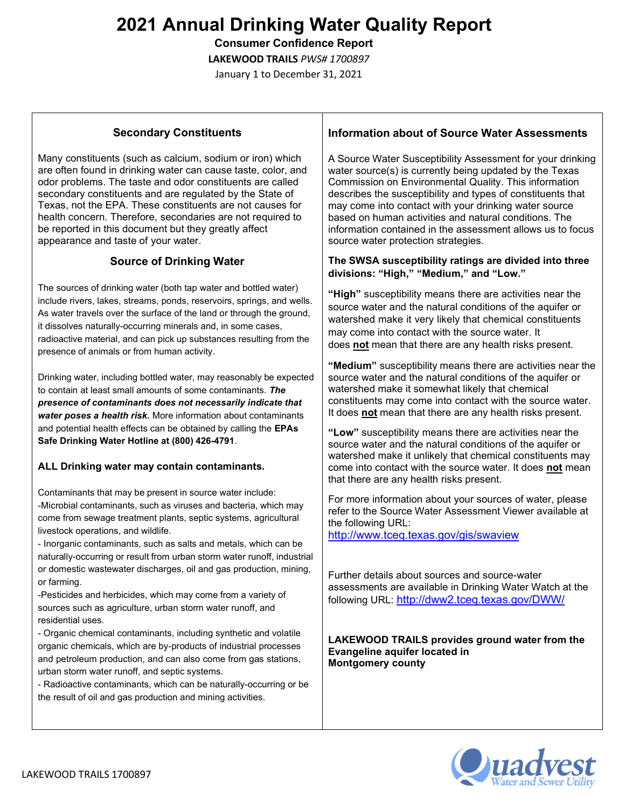Consumer Confidence Report

LAKEWOOD TRAILS PWS# 1700897

January 1 to December 31, 2021

#### Secondary Constituents

Many constituents (such as calcium, sodium or iron) which are often found in drinking water can cause taste, color, and odor problems. The taste and odor constituents are called secondary constituents and are regulated by the State of Texas, not the EPA. These constituents are not causes for health concern. Therefore, secondaries are not required to be reported in this document but they greatly affect appearance and taste of your water.

#### Source of Drinking Water

The sources of drinking water (both tap water and bottled water) include rivers, lakes, streams, ponds, reservoirs, springs, and wells. As water travels over the surface of the land or through the ground, it dissolves naturally-occurring minerals and, in some cases, radioactive material, and can pick up substances resulting from the presence of animals or from human activity.

Drinking water, including bottled water, may reasonably be expected to contain at least small amounts of some contaminants. The presence of contaminants does not necessarily indicate that water poses a health risk. More information about contaminants and potential health effects can be obtained by calling the EPAs Safe Drinking Water Hotline at (800) 426-4791.

#### ALL Drinking water may contain contaminants.

Contaminants that may be present in source water include: -Microbial contaminants, such as viruses and bacteria, which may come from sewage treatment plants, septic systems, agricultural livestock operations, and wildlife.

- Inorganic contaminants, such as salts and metals, which can be naturally-occurring or result from urban storm water runoff, industrial or domestic wastewater discharges, oil and gas production, mining, or farming.

-Pesticides and herbicides, which may come from a variety of sources such as agriculture, urban storm water runoff, and residential uses.

- Organic chemical contaminants, including synthetic and volatile organic chemicals, which are by-products of industrial processes and petroleum production, and can also come from gas stations, urban storm water runoff, and septic systems.

- Radioactive contaminants, which can be naturally-occurring or be the result of oil and gas production and mining activities.

#### Information about of Source Water Assessments

A Source Water Susceptibility Assessment for your drinking water source(s) is currently being updated by the Texas Commission on Environmental Quality. This information describes the susceptibility and types of constituents that may come into contact with your drinking water source based on human activities and natural conditions. The information contained in the assessment allows us to focus source water protection strategies.

#### The SWSA susceptibility ratings are divided into three divisions: "High," "Medium," and "Low."

"High" susceptibility means there are activities near the source water and the natural conditions of the aquifer or watershed make it very likely that chemical constituents may come into contact with the source water. It does not mean that there are any health risks present.

"Medium" susceptibility means there are activities near the source water and the natural conditions of the aquifer or watershed make it somewhat likely that chemical constituents may come into contact with the source water. It does not mean that there are any health risks present.

"Low" susceptibility means there are activities near the source water and the natural conditions of the aquifer or watershed make it unlikely that chemical constituents may come into contact with the source water. It does not mean that there are any health risks present.

For more information about your sources of water, please refer to the Source Water Assessment Viewer available at the following URL:

http://www.tceq.texas.gov/gis/swaview

Further details about sources and source-water assessments are available in Drinking Water Watch at the following URL: http://dww2.tceq.texas.gov/DWW/

#### LAKEWOOD TRAILS provides ground water from the Evangeline aquifer located in Montgomery county